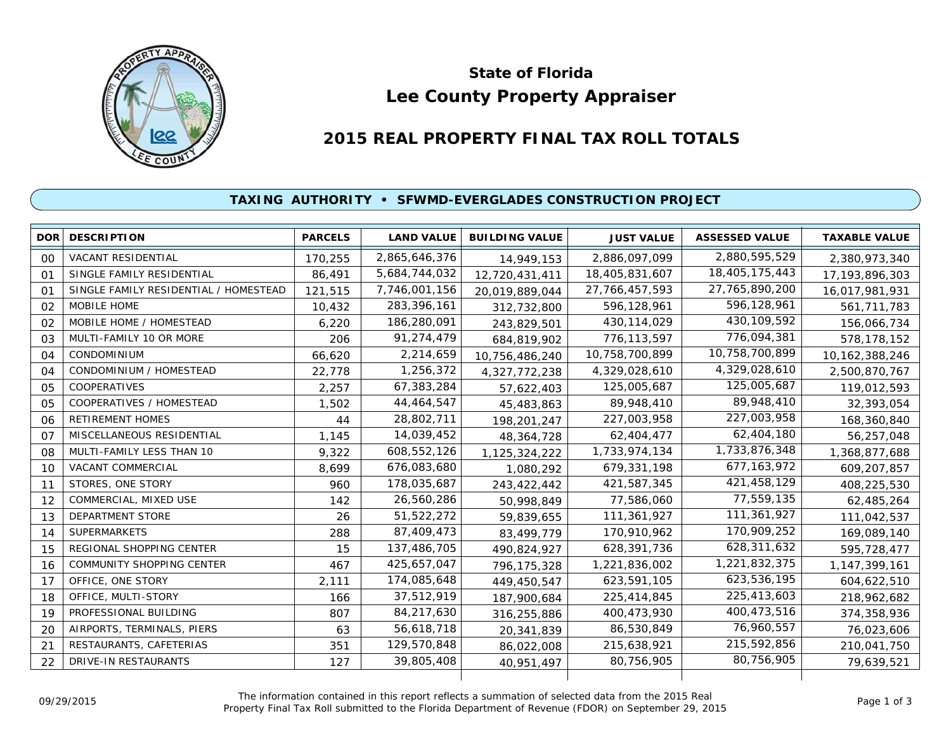

# **Lee County Property Appraiser State of Florida**

# **2015 REAL PROPERTY FINAL TAX ROLL TOTALS**

## **TAXING AUTHORITY • SFWMD-EVERGLADES CONSTRUCTION PROJECT**

|                | <b>DOR DESCRIPTION</b>                | <b>PARCELS</b> | <b>LAND VALUE</b> | <b>BUILDING VALUE</b> | <b>JUST VALUE</b> | <b>ASSESSED VALUE</b> | <b>TAXABLE VALUE</b> |
|----------------|---------------------------------------|----------------|-------------------|-----------------------|-------------------|-----------------------|----------------------|
| 00             | VACANT RESIDENTIAL                    | 170,255        | 2,865,646,376     | 14,949,153            | 2,886,097,099     | 2,880,595,529         | 2,380,973,340        |
| O <sub>1</sub> | SINGLE FAMILY RESIDENTIAL             | 86,491         | 5,684,744,032     | 12,720,431,411        | 18,405,831,607    | 18,405,175,443        | 17, 193, 896, 303    |
| O <sub>1</sub> | SINGLE FAMILY RESIDENTIAL / HOMESTEAD | 121,515        | 7,746,001,156     | 20,019,889,044        | 27, 766, 457, 593 | 27,765,890,200        | 16,017,981,931       |
| 02             | MOBILE HOME                           | 10,432         | 283,396,161       | 312,732,800           | 596,128,961       | 596,128,961           | 561,711,783          |
| 02             | MOBILE HOME / HOMESTEAD               | 6.220          | 186,280,091       | 243,829,501           | 430, 114, 029     | 430,109,592           | 156,066,734          |
| 03             | MULTI-FAMILY 10 OR MORE               | 206            | 91,274,479        | 684,819,902           | 776,113,597       | 776,094,381           | 578,178,152          |
| 04             | <b>CONDOMINIUM</b>                    | 66,620         | 2,214,659         | 10,756,486,240        | 10,758,700,899    | 10,758,700,899        | 10, 162, 388, 246    |
| 04             | CONDOMINIUM / HOMESTEAD               | 22,778         | 1,256,372         | 4,327,772,238         | 4,329,028,610     | 4,329,028,610         | 2,500,870,767        |
| 05             | <b>COOPERATIVES</b>                   | 2,257          | 67,383,284        | 57,622,403            | 125,005,687       | 125,005,687           | 119,012,593          |
| 05             | COOPERATIVES / HOMESTEAD              | 1,502          | 44,464,547        | 45,483,863            | 89,948,410        | 89,948,410            | 32,393,054           |
| 06             | <b>RETIREMENT HOMES</b>               | 44             | 28,802,711        | 198,201,247           | 227,003,958       | 227,003,958           | 168,360,840          |
| 07             | MISCELLANEOUS RESIDENTIAL             | 1,145          | 14,039,452        | 48, 364, 728          | 62,404,477        | 62,404,180            | 56,257,048           |
| 08             | MULTI-FAMILY LESS THAN 10             | 9,322          | 608,552,126       | 1,125,324,222         | 1,733,974,134     | 1,733,876,348         | 1,368,877,688        |
| 10             | VACANT COMMERCIAL                     | 8,699          | 676,083,680       | 1,080,292             | 679,331,198       | 677, 163, 972         | 609,207,857          |
| 11             | STORES, ONE STORY                     | 960            | 178,035,687       | 243,422,442           | 421,587,345       | 421,458,129           | 408,225,530          |
| 12             | COMMERCIAL, MIXED USE                 | 142            | 26,560,286        | 50,998,849            | 77,586,060        | 77,559,135            | 62,485,264           |
| 13             | DEPARTMENT STORE                      | 26             | 51,522,272        | 59,839,655            | 111,361,927       | 111,361,927           | 111,042,537          |
| 14             | SUPERMARKETS                          | 288            | 87,409,473        | 83,499,779            | 170,910,962       | 170,909,252           | 169,089,140          |
| 15             | REGIONAL SHOPPING CENTER              | 15             | 137,486,705       | 490,824,927           | 628,391,736       | 628,311,632           | 595,728,477          |
| 16             | COMMUNITY SHOPPING CENTER             | 467            | 425,657,047       | 796,175,328           | 1,221,836,002     | 1,221,832,375         | 1, 147, 399, 161     |
| 17             | OFFICE, ONE STORY                     | 2,111          | 174,085,648       | 449,450,547           | 623,591,105       | 623,536,195           | 604,622,510          |
| 18             | OFFICE, MULTI-STORY                   | 166            | 37,512,919        | 187,900,684           | 225,414,845       | 225,413,603           | 218,962,682          |
| 19             | PROFESSIONAL BUILDING                 | 807            | 84,217,630        | 316,255,886           | 400,473,930       | 400,473,516           | 374,358,936          |
| 20             | AIRPORTS, TERMINALS, PIERS            | 63             | 56,618,718        | 20,341,839            | 86,530,849        | 76,960,557            | 76,023,606           |
| 21             | RESTAURANTS, CAFETERIAS               | 351            | 129,570,848       | 86,022,008            | 215,638,921       | 215,592,856           | 210,041,750          |
| 22             | DRIVE-IN RESTAURANTS                  | 127            | 39,805,408        | 40,951,497            | 80,756,905        | 80,756,905            | 79,639,521           |
|                |                                       |                |                   |                       |                   |                       |                      |

The information contained in this report reflects a summation of selected data from the 2015 Real Ine information contained in this report reflects a summation of selected data from the 2015 Real<br>Property Final Tax Roll submitted to the Florida Department of Revenue (FDOR) on September 29, 2015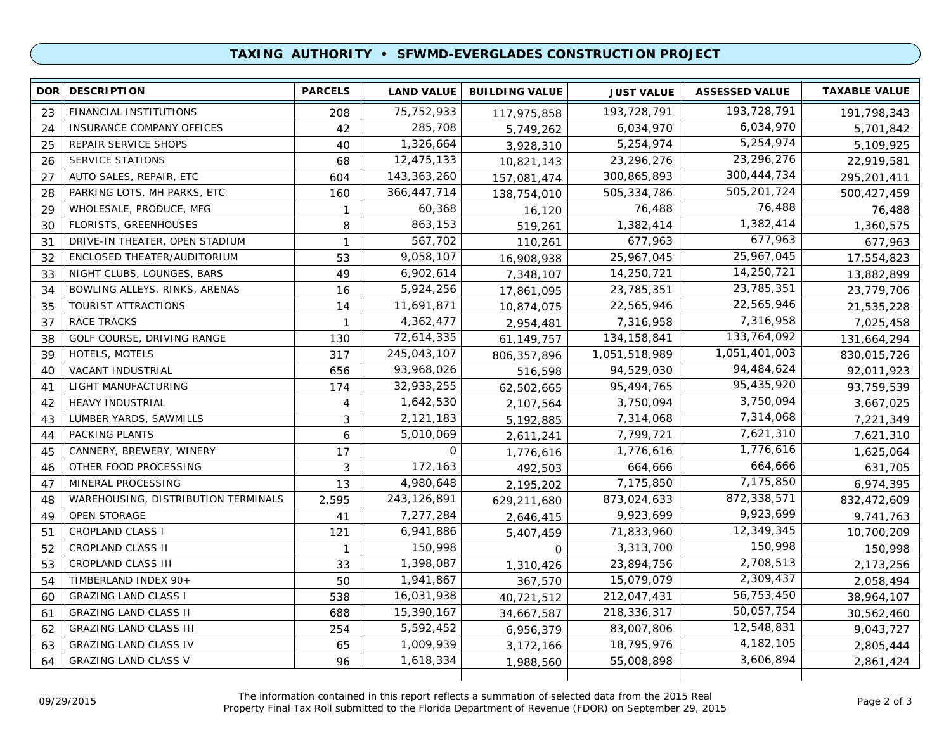### **TAXING AUTHORITY • SFWMD-EVERGLADES CONSTRUCTION PROJECT**

| 23<br>24<br>25<br>26 | FINANCIAL INSTITUTIONS<br>INSURANCE COMPANY OFFICES<br>REPAIR SERVICE SHOPS<br><b>SERVICE STATIONS</b> | 208<br>42<br>40 | 75, 752, 933<br>285,708 | 117,975,858   | 193,728,791   | 193,728,791   |             |
|----------------------|--------------------------------------------------------------------------------------------------------|-----------------|-------------------------|---------------|---------------|---------------|-------------|
|                      |                                                                                                        |                 |                         |               |               |               | 191,798,343 |
|                      |                                                                                                        |                 |                         | 5,749,262     | 6,034,970     | 6,034,970     | 5,701,842   |
|                      |                                                                                                        |                 | 1,326,664               | 3,928,310     | 5,254,974     | 5,254,974     | 5,109,925   |
|                      |                                                                                                        | 68              | 12,475,133              | 10,821,143    | 23,296,276    | 23,296,276    | 22,919,581  |
| 27                   | AUTO SALES, REPAIR, ETC                                                                                | 604             | 143,363,260             | 157,081,474   | 300,865,893   | 300,444,734   | 295,201,411 |
| 28                   | PARKING LOTS, MH PARKS, ETC                                                                            | 160             | 366,447,714             | 138,754,010   | 505,334,786   | 505,201,724   | 500,427,459 |
| 29                   | WHOLESALE, PRODUCE, MFG                                                                                | $\mathbf{1}$    | 60,368                  | 16,120        | 76,488        | 76,488        | 76,488      |
| 30                   | <b>FLORISTS, GREENHOUSES</b>                                                                           | 8               | 863,153                 | 519,261       | 1,382,414     | 1,382,414     | 1,360,575   |
| 31                   | DRIVE-IN THEATER, OPEN STADIUM                                                                         | $\mathbf{1}$    | 567,702                 | 110,261       | 677,963       | 677,963       | 677,963     |
| 32                   | ENCLOSED THEATER/AUDITORIUM                                                                            | 53              | 9,058,107               | 16,908,938    | 25,967,045    | 25,967,045    | 17,554,823  |
| 33                   | NIGHT CLUBS, LOUNGES, BARS                                                                             | 49              | 6,902,614               | 7,348,107     | 14,250,721    | 14,250,721    | 13,882,899  |
| 34                   | BOWLING ALLEYS, RINKS, ARENAS                                                                          | 16              | 5,924,256               | 17,861,095    | 23,785,351    | 23,785,351    | 23,779,706  |
| 35                   | TOURIST ATTRACTIONS                                                                                    | 14              | 11,691,871              | 10,874,075    | 22,565,946    | 22,565,946    | 21,535,228  |
| 37                   | <b>RACE TRACKS</b>                                                                                     | $\mathbf 1$     | 4,362,477               | 2,954,481     | 7,316,958     | 7,316,958     | 7,025,458   |
| 38                   | GOLF COURSE, DRIVING RANGE                                                                             | 130             | 72,614,335              | 61, 149, 757  | 134, 158, 841 | 133,764,092   | 131,664,294 |
| 39                   | HOTELS, MOTELS                                                                                         | 317             | 245,043,107             | 806, 357, 896 | 1,051,518,989 | 1,051,401,003 | 830,015,726 |
| 40                   | VACANT INDUSTRIAL                                                                                      | 656             | 93,968,026              | 516,598       | 94,529,030    | 94,484,624    | 92,011,923  |
| 41                   | LIGHT MANUFACTURING                                                                                    | 174             | 32,933,255              | 62,502,665    | 95,494,765    | 95,435,920    | 93,759,539  |
| 42                   | <b>HEAVY INDUSTRIAL</b>                                                                                | 4               | 1,642,530               | 2,107,564     | 3,750,094     | 3,750,094     | 3,667,025   |
| 43                   | LUMBER YARDS, SAWMILLS                                                                                 | 3               | 2,121,183               | 5,192,885     | 7,314,068     | 7,314,068     | 7,221,349   |
| 44                   | PACKING PLANTS                                                                                         | 6               | 5,010,069               | 2,611,241     | 7,799,721     | 7,621,310     | 7,621,310   |
| 45                   | CANNERY, BREWERY, WINERY                                                                               | 17              | 0                       | 1,776,616     | 1,776,616     | 1,776,616     | 1,625,064   |
| 46                   | OTHER FOOD PROCESSING                                                                                  | 3               | 172,163                 | 492,503       | 664,666       | 664,666       | 631,705     |
| 47                   | MINERAL PROCESSING                                                                                     | 13              | 4,980,648               | 2,195,202     | 7,175,850     | 7,175,850     | 6,974,395   |
| 48                   | WAREHOUSING, DISTRIBUTION TERMINALS                                                                    | 2,595           | 243,126,891             | 629,211,680   | 873,024,633   | 872,338,571   | 832,472,609 |
| 49                   | OPEN STORAGE                                                                                           | 41              | 7,277,284               | 2,646,415     | 9,923,699     | 9,923,699     | 9,741,763   |
| 51                   | <b>CROPLAND CLASS I</b>                                                                                | 121             | 6,941,886               | 5,407,459     | 71,833,960    | 12,349,345    | 10,700,209  |
| 52                   | CROPLAND CLASS II                                                                                      | $\mathbf{1}$    | 150,998                 | $\mathbf 0$   | 3,313,700     | 150,998       | 150,998     |
| 53                   | CROPLAND CLASS III                                                                                     | 33              | 1,398,087               | 1,310,426     | 23,894,756    | 2,708,513     | 2,173,256   |
| 54                   | TIMBERLAND INDEX 90+                                                                                   | 50              | 1,941,867               | 367,570       | 15,079,079    | 2,309,437     | 2,058,494   |
| 60                   | <b>GRAZING LAND CLASS I</b>                                                                            | 538             | 16,031,938              | 40,721,512    | 212,047,431   | 56,753,450    | 38,964,107  |
| 61                   | <b>GRAZING LAND CLASS II</b>                                                                           | 688             | 15,390,167              | 34,667,587    | 218,336,317   | 50,057,754    | 30,562,460  |
| 62                   | <b>GRAZING LAND CLASS III</b>                                                                          | 254             | 5,592,452               | 6,956,379     | 83,007,806    | 12,548,831    | 9,043,727   |
| 63                   | <b>GRAZING LAND CLASS IV</b>                                                                           | 65              | 1,009,939               | 3,172,166     | 18,795,976    | 4,182,105     | 2,805,444   |
| 64                   | <b>GRAZING LAND CLASS V</b>                                                                            | 96              | 1,618,334               | 1,988,560     | 55,008,898    | 3,606,894     | 2,861,424   |